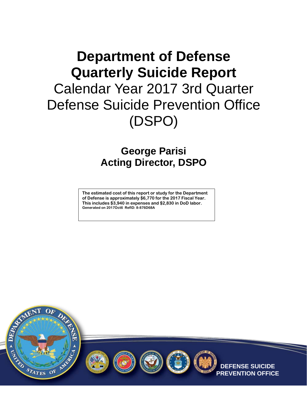# **Department of Defense Quarterly Suicide Report**  Calendar Year 2017 3rd Quarter Defense Suicide Prevention Office (DSPO)

#### **George Parisi Acting Director, DSPO**

**The estimated cost of this report or study for the Department of Defense is approximately \$6,770 for the 2017 Fiscal Year. This includes \$3,940 in expenses and \$2,830 in DoD labor. Generated on 2017Oct6 RefID: 8-876D68A**









**DEFENSE SUICIDE PREVENTION OFFICE**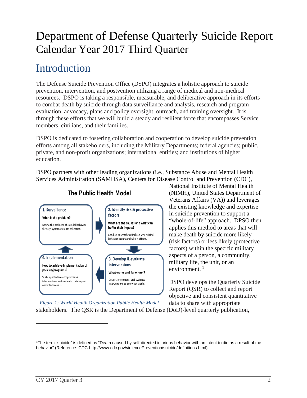# Department of Defense Quarterly Suicide Report Calendar Year 2017 Third Quarter

#### **Introduction**

The Defense Suicide Prevention Office (DSPO) integrates a holistic approach to suicide prevention, intervention, and postvention utilizing a range of medical and non-medical resources. DSPO is taking a responsible, measurable, and deliberative approach in its efforts to combat death by suicide through data surveillance and analysis, research and program evaluation, advocacy, plans and policy oversight, outreach, and training oversight. It is through these efforts that we will build a steady and resilient force that encompasses Service members, civilians, and their families.

DSPO is dedicated to fostering collaboration and cooperation to develop suicide prevention efforts among all stakeholders, including the Military Departments; federal agencies; public, private, and non-profit organizations; international entities; and institutions of higher education.

DSPO partners with other leading organizations (i.e., Substance Abuse and Mental Health Services Administration (SAMHSA), Centers for Disease Control and Prevention (CDC),



#### The Public Health Model

National Institute of Mental Health (NIMH), United States Department of Veterans Affairs (VA)) and leverages the existing knowledge and expertise in suicide prevention to support a "whole-of-life" approach. DPSO then applies this method to areas that will make death by suicide more likely (risk factors) or less likely (protective factors) within the specific military aspects of a person, a community, military life, the unit, or an environment. $1$ 

DSPO develops the Quarterly Suicide Report (QSR) to collect and report objective and consistent quantitative data to share with appropriate

*Figure 1: World Health Organization Public Health Model*

stakeholders. The QSR is the Department of Defense (DoD)-level quarterly publication,

<span id="page-1-0"></span><sup>1</sup>The term "suicide" is defined as "Death caused by self-directed injurious behavior with an intent to die as a result of the behavior" (Reference: CDC-http://www.cdc.gov/violencePrevention/suicide/definitions.html)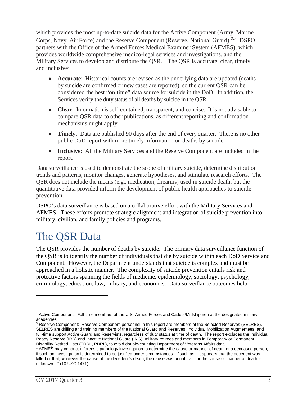which provides the most up-to-date suicide data for the Active Component (Army, Marine Corps, Navy, Air Force) and the Reserve Component (Reserve, National Guard).<sup>[2](#page-2-0),[3](#page-2-1)</sup> DSPO partners with the Office of the Armed Forces Medical Examiner System (AFMES), which provides worldwide comprehensive medico-legal services and investigations, and the Military Services to develop and distribute the QSR.<sup>[4](#page-2-2)</sup> The QSR is accurate, clear, timely, and inclusive:

- **Accurate:** Historical counts are revised as the underlying data are updated (deaths by suicide are confirmed or new cases are reported), so the current QSR can be considered the best "on time" data source for suicide in the DoD. In addition, the Services verify the duty status of all deaths by suicide in the QSR.
- **Clear**: Information is self-contained, transparent, and concise. It is not advisable to compare QSR data to other publications, as different reporting and confirmation mechanisms might apply.
- **Timely**: Data are published 90 days after the end of every quarter. There is no other public DoD report with more timely information on deaths by suicide.
- **Inclusive**: All the Military Services and the Reserve Component are included in the report.

Data surveillance is used to demonstrate the scope of military suicide, determine distribution trends and patterns, monitor changes, generate hypotheses, and stimulate research efforts. The QSR does not include the means (e.g., medication, firearms) used in suicide death, but the quantitative data provided inform the development of public health approaches to suicide prevention.

DSPO's data surveillance is based on a collaborative effort with the Military Services and AFMES. These efforts promote strategic alignment and integration of suicide prevention into military, civilian, and family policies and programs.

### The QSR Data

The QSR provides the number of deaths by suicide. The primary data surveillance function of the QSR is to identify the number of individuals that die by suicide within each DoD Service and Component. However, the Department understands that suicide is complex and must be approached in a holistic manner. The complexity of suicide prevention entails risk and protective factors spanning the fields of medicine, epidemiology, sociology, psychology, criminology, education, law, military, and economics. Data surveillance outcomes help

<span id="page-2-0"></span><sup>&</sup>lt;sup>2</sup> Active Component: Full-time members of the U.S. Armed Forces and Cadets/Midshipmen at the designated military academies.

<span id="page-2-1"></span><sup>3</sup> Reserve Component: Reserve Component personnel in this report are members of the Selected Reserves (SELRES). SELRES are drilling and training members of the National Guard and Reserves, Individual Mobilization Augmentees, and full-time support Active Guard and Reservists, regardless of duty status at time of death. The report excludes the Individual Ready Reserve (IRR) and Inactive National Guard (ING), military retirees and members in Temporary or Permanent Disability Retired Lists (TDRL, PDRL), to avoid double-counting Department of Veterans Affairs data.

<span id="page-2-2"></span><sup>4</sup> AFMES may conduct a forensic pathology investigation to determine the cause or manner of death of a deceased person, if such an investigation is determined to be justified under circumstances… "such as…it appears that the decedent was killed or that, whatever the cause of the decedent's death, the cause was unnatural...or the cause or manner of death is unknown…" (10 USC 1471).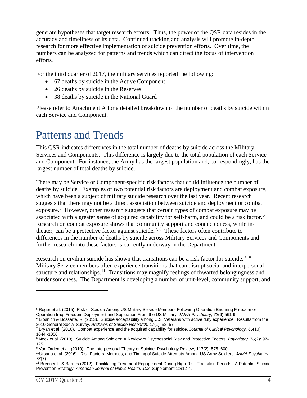generate hypotheses that target research efforts. Thus, the power of the QSR data resides in the accuracy and timeliness of its data. Continued tracking and analysis will promote in-depth research for more effective implementation of suicide prevention efforts. Over time, the numbers can be analyzed for patterns and trends which can direct the focus of intervention efforts.

For the third quarter of 2017, the military services reported the following:

- 67 deaths by suicide in the Active Component
- 26 deaths by suicide in the Reserves
- 38 deaths by suicide in the National Guard

Please refer to Attachment A for a detailed breakdown of the number of deaths by suicide within each Service and Component.

### Patterns and Trends

This QSR indicates differences in the total number of deaths by suicide across the Military Services and Components. This difference is largely due to the total population of each Service and Component. For instance, the Army has the largest population and, correspondingly, has the largest number of total deaths by suicide.

There may be Service or Component-specific risk factors that could influence the number of deaths by suicide. Examples of two potential risk factors are deployment and combat exposure, which have been a subject of military suicide research over the last year. Recent research suggests that there may not be a direct association between suicide and deployment or combat exposure.<sup>[5](#page-3-0)</sup> However, other research suggests that certain types of combat exposure may be associated with a greater sense of acquired capability for self-harm, and could be a risk factor.<sup>[6](#page-3-1)</sup> Research on combat exposure shows that community support and connectedness, while in-theater, can be a protective factor against suicide.<sup>[7](#page-3-2), [8](#page-3-3)</sup> These factors often contribute to differences in the number of deaths by suicide across Military Services and Components and further research into these factors is currently underway in the Department.

Research on civilian suicide has shown that transitions can be a risk factor for suicide.<sup>[9](#page-3-4),10</sup> Military Service members often experience transitions that can disrupt social and interpersonal structure and relationships.<sup>[11](#page-3-6)</sup> Transitions may magnify feelings of thwarted belongingness and burdensomeness. The Department is developing a number of unit-level, community support, and

<span id="page-3-0"></span><sup>&</sup>lt;sup>5</sup> Reger et al. (2015). Risk of Suicide Among US Military Service Members Following Operation Enduring Freedom or<br>Operation Iraqi Freedom Deployment and Separation From the US Military. JAMA Psychiatry, 72(6):561-9.

<span id="page-3-1"></span><sup>&</sup>lt;sup>6</sup> Blosnich & Bossarte, R. (2013). Suicide acceptability among U.S. Veterans with active duty experience: Results from the 2010 General Social Survey. Archives of Suicide Research. 17(1), 52–57.

<span id="page-3-2"></span><sup>&</sup>lt;sup>7</sup> Bryan et al. (2010). Combat experience and the acquired capability for suicide. *Journal of Clinical Psychology, 66*(10), 1044 -1056.

<span id="page-3-3"></span><sup>8</sup> Nock et al. (2013). Suicide Among Soldiers: A Review of Psychosocial Risk and Protective Factors. *Psychiatry. 76*(2): 97– 125.

<span id="page-3-4"></span><sup>9</sup> Van Orden et al. (2010). The Interpersonal Theory of Suicide. Psychology Review, 117(2): 575–600.

<span id="page-3-5"></span><sup>10</sup>Ursano et al. (2016). Risk Factors, Methods, and Timing of Suicide Attempts Among US Army Soldiers. *JAMA Psychiatry. 73*(7).

<span id="page-3-6"></span><sup>11</sup> Brenner L. & Barnes (2012). Facilitating Treatment Engagement During High-Risk Transition Periods: A Potential Suicide Prevention Strategy. *American Journal of Public Health. 102*, Supplement 1:S12-4.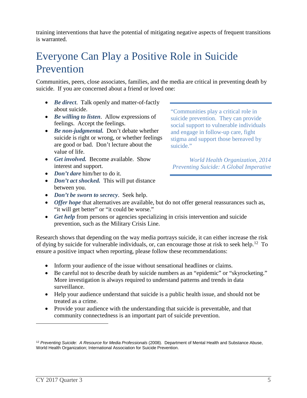training interventions that have the potential of mitigating negative aspects of frequent transitions is warranted.

### Everyone Can Play a Positive Role in Suicide Prevention

Communities, peers, close associates, families, and the media are critical in preventing death by suicide. If you are concerned about a friend or loved one:

- *Be direct*. Talk openly and matter-of-factly about suicide.
- *Be willing to listen*. Allow expressions of feelings. Accept the feelings.
- *Be non-judgmental.* Don't debate whether suicide is right or wrong, or whether feelings are good or bad. Don't lecture about the value of life.
- *Get involved.* Become available. Show interest and support.
- *Don't dare* him/her to do it.
- *Don't act shocked.* This will put distance between you.
- *Don't be sworn to secrecy*. Seek help.
- *Offer hope* that alternatives are available, but do not offer general reassurances such as, "it will get better" or "it could be worse."
- *Get help* from persons or agencies specializing in crisis intervention and suicide prevention, such as the Military Crisis Line.

Research shows that depending on the way media portrays suicide, it can either increase the risk of dying by suicide for vulnerable individuals, or, can encourage those at risk to seek help.<sup>[12](#page-4-0)</sup> To ensure a positive impact when reporting, please follow these recommendations:

- Inform your audience of the issue without sensational headlines or claims.
- Be careful not to describe death by suicide numbers as an "epidemic" or "skyrocketing." More investigation is always required to understand patterns and trends in data surveillance.
- Help your audience understand that suicide is a public health issue, and should not be treated as a crime.
- Provide your audience with the understanding that suicide is preventable, and that community connectedness is an important part of suicide prevention.

"Communities play a critical role in suicide prevention. They can provide social support to vulnerable individuals and engage in follow-up care, fight stigma and support those bereaved by suicide."

*World Health Organization, 2014 Preventing Suicide: A Global Imperative*

<span id="page-4-0"></span><sup>12</sup> *Preventing Suicide: A Resource for Media Professionals* (2008). Department of Mental Health and Substance Abuse, World Health Organization; International Association for Suicide Prevention.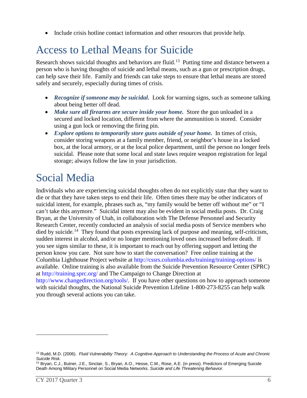• Include crisis hotline contact information and other resources that provide help.

# Access to Lethal Means for Suicide

Research shows suicidal thoughts and behaviors are fluid.<sup>[13](#page-5-0)</sup> Putting time and distance between a person who is having thoughts of suicide and lethal means, such as a gun or prescription drugs, can help save their life. Family and friends can take steps to ensure that lethal means are stored safely and securely, especially during times of crisis.

- *Recognize if someone may be suicidal***.** Look for warning signs, such as someone talking about being better off dead.
- *Make sure all firearms are secure inside your home.* Store the gun unloaded in a secured and locked location, different from where the ammunition is stored. Consider using a gun lock or removing the firing pin.
- *Explore options to temporarily store guns outside of your home.* In times of crisis, consider storing weapons at a family member, friend, or neighbor's house in a locked box, at the local armory, or at the local police department, until the person no longer feels suicidal. Please note that some local and state laws require weapon registration for legal storage; always follow the law in your jurisdiction.

# Social Media

Individuals who are experiencing suicidal thoughts often do not explicitly state that they want to die or that they have taken steps to end their life. Often times there may be other indicators of suicidal intent, for example, phrases such as, "my family would be better off without me" or "I can't take this anymore." Suicidal intent may also be evident in social media posts. Dr. Craig Bryan, at the University of Utah, in collaboration with The Defense Personnel and Security Research Center, recently conducted an analysis of social media posts of Service members who died by suicide.<sup>[14](#page-5-1)</sup> They found that posts expressing lack of purpose and meaning, self-criticism, sudden interest in alcohol, and/or no longer mentioning loved ones increased before death. If you see signs similar to these, it is important to reach out by offering support and letting the person know you care. Not sure how to start the conversation? Free online training at the Columbia Lighthouse Project website at <http://cssrs.columbia.edu/training/training-options/> is available. Online training is also available from the Suicide Prevention Resource Center (SPRC) at<http://training.sprc.org/> and The Campaign to Change Direction at [http://www.changedirection.org/tools/.](http://www.changedirection.org/tools/) If you have other questions on how to approach someone with suicidal thoughts, the National Suicide Prevention Lifeline 1-800-273-8255 can help walk you through several actions you can take.

<span id="page-5-0"></span><sup>13</sup> Rudd, M.D. (2006). *Fluid Vulnerability Theory: A Cognitive Approach to Understanding the Process of Acute and Chronic Suicide Risk.*

<span id="page-5-1"></span><sup>14</sup> Bryan, C.J., Butner, J.E., Sinclair, S., Bryan, A.O., Hesse, C.M., Rose, A.E. (in press). Predictors of Emerging Suicide Death Among Military Personnel on Social Media Networks. *Suicide and Life Threatening Behavior.*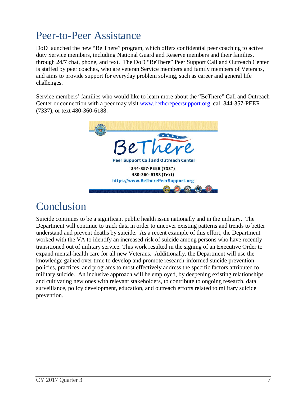## Peer-to-Peer Assistance

DoD launched the new "Be There" program, which offers confidential peer coaching to active duty Service members, including National Guard and Reserve members and their families, through 24/7 chat, phone, and text. The DoD "BeThere" Peer Support Call and Outreach Center is staffed by peer coaches, who are veteran Service members and family members of Veterans, and aims to provide support for everyday problem solving, such as career and general life challenges.

Service members' families who would like to learn more about the "BeThere" Call and Outreach Center or connection with a peer may visit [www.betherepeersupport.org,](http://www.betherepeersupport.com/) call 844-357-PEER (7337), or text 480-360-6188.



#### Conclusion

Suicide continues to be a significant public health issue nationally and in the military. The Department will continue to track data in order to uncover existing patterns and trends to better understand and prevent deaths by suicide. As a recent example of this effort, the Department worked with the VA to identify an increased risk of suicide among persons who have recently transitioned out of military service. This work resulted in the signing of an Executive Order to expand mental-health care for all new Veterans. Additionally, the Department will use the knowledge gained over time to develop and promote research-informed suicide prevention policies, practices, and programs to most effectively address the specific factors attributed to military suicide. An inclusive approach will be employed, by deepening existing relationships and cultivating new ones with relevant stakeholders, to contribute to ongoing research, data surveillance, policy development, education, and outreach efforts related to military suicide prevention.